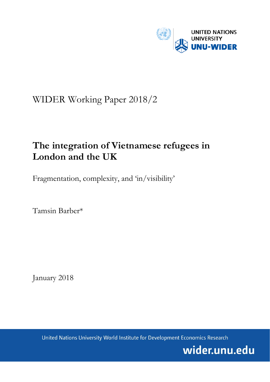

# WIDER Working Paper 2018/2

# **The integration of Vietnamese refugees in London and the UK**

Fragmentation, complexity, and 'in/visibility'

Tamsin Barber\*

January 2018

United Nations University World Institute for Development Economics Research

wider.unu.edu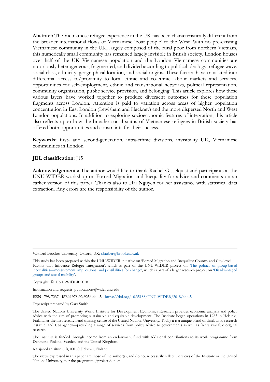**Abstract:** The Vietnamese refugee experience in the UK has been characteristically different from the broader international flows of Vietnamese 'boat people' to the West. With no pre-existing Vietnamese community in the UK, largely composed of the rural poor from northern Vietnam, this numerically small community has remained largely invisible in British society. London houses over half of the UK Vietnamese population and the London Vietnamese communities are notoriously heterogeneous, fragmented, and divided according to political ideology, refugee wave, social class, ethnicity, geographical location, and social origins. These factors have translated into differential access to/proximity to local ethnic and co-ethnic labour markets and services, opportunities for self-employment, ethnic and transnational networks, political representation, community organization, public service provision, and belonging. This article explores how these various layers have worked together to produce divergent outcomes for these population fragments across London. Attention is paid to variation across areas of higher population concentration in East London (Lewisham and Hackney) and the more dispersed North and West London populations. In addition to exploring socioeconomic features of integration, this article also reflects upon how the broader social status of Vietnamese refugees in British society has offered both opportunities and constraints for their success.

**Keywords:** first- and second-generation, intra-ethnic divisions, invisibility UK, Vietnamese communities in London

### **JEL classification:** J15

**Acknowledgements:** The author would like to thank Rachel Gisselquist and participants at the UNU-WIDER workshop on Forced Migration and Inequality for advice and comments on an earlier version of this paper. Thanks also to Hai Nguyen for her assistance with statistical data extraction. Any errors are the responsibility of the author.

Copyright © UNU-WIDER 2018

Information and requests: publications@wider.unu.edu

ISSN 1798-7237 ISBN 978-92-9256-444-5 <https://doi.org/10.35188/UNU-WIDER/2018/444-5>

Typescript prepared by Gary Smith.

The Institute is funded through income from an endowment fund with additional contributions to its work programme from Denmark, Finland, Sweden, and the United Kingdom.

Katajanokanlaituri 6 B, 00160 Helsinki, Finland

The views expressed in this paper are those of the author(s), and do not necessarily reflect the views of the Institute or the United Nations University, nor the programme/project donors.

<sup>\*</sup>Oxford Brookes University, Oxford, UK; t.barber@brookes.ac.uk

This study has been prepared within the UNU-WIDER initiative on 'Forced Migration and Inequality: County- and City-level Factors that Influence Refugee Integration', which is part of the UNU-WIDER project on ['The politics of group-based](https://www.wider.unu.edu/node/476) [inequalities—measurement, implications, and possibilities for](https://www.wider.unu.edu/node/476) change', which is part of a larger research project on ['Disadvantaged](https://www.wider.unu.edu/node/362) groups and [social mobility'.](https://www.wider.unu.edu/node/362) 

The United Nations University World Institute for Development Economics Research provides economic analysis and policy advice with the aim of promoting sustainable and equitable development. The Institute began operations in 1985 in Helsinki, Finland, as the first research and training centre of the United Nations University. Today it is a unique blend of think tank, research institute, and UN agency—providing a range of services from policy advice to governments as well as freely available original research.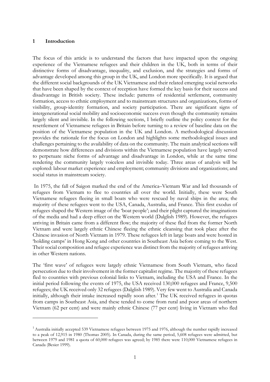## **1 Introduction**

-

The focus of this article is to understand the factors that have impacted upon the ongoing experience of the Vietnamese refugees and their children in the UK, both in terms of their distinctive forms of disadvantage, inequality, and exclusion, and the strategies and forms of advantage developed among this group in the UK, and London more specifically. It is argued that the different social backgrounds of the UK Vietnamese and their related emerging social networks that have been shaped by the context of reception have formed the key basis for their success and disadvantage in British society. These include: patterns of residential settlement, community formation, access to ethnic employment and to mainstream structures and organizations, forms of visibility, group-identity formation, and society participation. There are significant signs of intergenerational social mobility and socioeconomic success even though the community remains largely silent and invisible. In the following sections, I briefly outline the policy context for the resettlement of Vietnamese refugees in Britain before turning to a review of baseline data on the position of the Vietnamese population in the UK and London. A methodological discussion provides the rationale for the focus on London and highlights some methodological issues and challenges pertaining to the availability of data on the community. The main analytical sections will demonstrate how differences and divisions within the Vietnamese population have largely served to perpetuate niche forms of advantage and disadvantage in London, while at the same time rendering the community largely voiceless and invisible today. Three areas of analysis will be explored: labour market experience and employment; community divisions and organizations; and social status in mainstream society.

In 1975, the fall of Saigon marked the end of the America–Vietnam War and led thousands of refugees from Vietnam to flee to countries all over the world. Initially, these were South Vietnamese refugees fleeing in small boats who were rescued by naval ships in the area; the majority of these refugees went to the USA, Canada, Australia, and France. This first exodus of refugees shaped the Western image of the 'boat people'; and their plight captured the imaginations of the media and had a deep effect on the Western world (Dalglish 1989). However, the refugees arriving in Britain came from a different flow; the majority of these fled from the former North Vietnam and were largely ethnic Chinese fleeing the ethnic cleansing that took place after the Chinese invasion of North Vietnam in 1979. These refugees left in large boats and were hosted in 'holding camps' in Hong Kong and other countries in Southeast Asia before coming to the West. Their social composition and refugee experience was distinct from the majority of refugees arriving in other Western nations.

The 'first wave' of refugees were largely ethnic Vietnamese from South Vietnam, who faced persecution due to their involvement in the former capitalist regime. The majority of these refugees fled to countries with previous colonial links to Vietnam, including the USA and France. In the initial period following the events of 1975, the USA received 130,000 refugees and France, 9,500 refugees; the UK received only 32 refugees (Dalglish 1989). Very few went to Australia and Canada initially, although their intake increased rapidly soon after. [1](#page-2-0) The UK received refugees in quotas from camps in Southeast Asia, and these tended to come from rural and poor areas of northern Vietnam (62 per cent) and were mainly ethnic Chinese (77 per cent) living in Vietnam who fled

<span id="page-2-0"></span><sup>&</sup>lt;sup>1</sup> Australia initially accepted 539 Vietnamese refugees between 1975 and 1976, although the number rapidly increased to a peak of 12,915 in 1980 (Thomas 2005). In Canada, during the same period, 5,608 refugees were admitted, but between 1979 and 1981 a quota of 60,000 refugees was agreed; by 1985 there were 110,000 Vietnamese refugees in Canada (Besier 1999).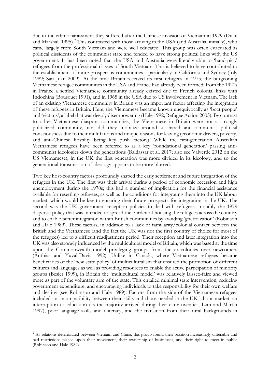due to the ethnic harassment they suffered after the Chinese invasion of Vietnam in 1979 (Duke and Marshall 1995).<sup>[2](#page-3-0)</sup> This contrasted with those arriving in the USA (and Australia, initially), who came largely from South Vietnam and were well educated. This group was often evacuated as political dissidents of the communist state and tended to have strong political links with the US government. It has been noted that the USA and Australia were literally able to 'hand-pick' refugees from the professional classes of South Vietnam. This is believed to have contributed to the establishment of more prosperous communities—particularly in California and Sydney (Joly 1989; San Juan 2009). At the time Britain received its first refugees in 1975, the burgeoning Vietnamese refugee communities in the USA and France had already been formed; from the 1920s in France a settled Vietnamese community already existed due to French colonial links with Indochina (Bousquet 1991), and in 1965 in the USA due to US involvement in Vietnam. The lack of an existing Vietnamese community in Britain was an important factor affecting the integration of these refugees in Britain. Here, the Vietnamese became known unequivocally as 'boat people' and 'victims', a label that was deeply disempowering (Hale 1992; Refugee Action 2003). By contrast to other Vietnamese diaspora communities, the Vietnamese in Britain were not a strongly politicized community, nor did they mobilize around a shared anti-communist political consciousness due to their multifarious and unique reasons for leaving (economic drivers, poverty, and anti-Chinese hostility being key push factors). While the first-generation Australian Vietnamese refugees have been referred to as a key 'foundational generation' passing anticommunist ideologies down the generations (Baldassar et al. 2017; also see Valverde 2012 on the US Vietnamese), in the UK the first generation was more divided in its ideology, and so the generational transmission of ideology appears to be more blurred.

Two key host-country factors profoundly shaped the early settlement and future integration of the refugees in the UK. The first was their arrival during a period of economic recession and high unemployment during the 1970s; this had a number of implication for the financial assistance available for resettling refugees, as well as the conditions for integrating them into the UK labour market, which would be key to ensuring their future prospects for integration in the UK. The second was the UK government reception policies to deal with refugees—notably the 1979 dispersal policy that was intended to spread the burden of housing the refugees across the country and to enable better integration within British communities by avoiding 'ghettoization' (Robinson and Hale 1989). These factors, in addition to a lack of familiarity/colonial contact between the British and the Vietnamese (and the fact the UK was not the first country of choice for most of the refugees) led to a difficult readjustment period. Their reception and later integration into the UK was also strongly influenced by the multicultural model of Britain, which was based at the time upon the Commonwealth model privileging groups from the ex-colonies over newcomers (Anthias and Yuval-Davis 1992). Unlike in Canada, where Vietnamese refugees became beneficiaries of the 'new state policy' of multiculturalism that ensured the promotion of different cultures and languages as well as providing resources to enable the active participation of minority groups (Besier 1999), in Britain the 'multicultural model' was relatively laissez-faire and viewed more as part of the voluntary arm of the state. This entailed minimal state intervention, reducing government expenditure, and encouraging individuals to take responsibility for their own welfare and destiny (see Robinson and Hale 1989). Factors from the side of the Vietnamese refugees included an incompatibility between their skills and those needed in the UK labour market, an interruption to education (as the majority arrived during their early twenties; Lam and Martin 1997), poor language skills and illiteracy, and the transition from their rural backgrounds in

-

<span id="page-3-0"></span><sup>&</sup>lt;sup>2</sup> As relations deteriorated between Vietnam and China, this group found their position increasingly untenable and had restrictions placed upon their movement, their ownership of businesses, and their right to meet in public (Robinson and Hale 1989).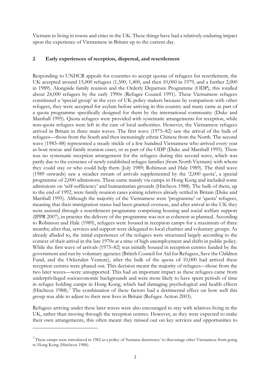Vietnam to living in towns and cities in the UK. These things have had a relatively enduring impact upon the experience of Vietnamese in Britain up to the current day.

## **2 Early experiences of reception, dispersal, and resettlement**

Responding to UNHCR appeals for countries to accept quotas of refugees for resettlement, the UK accepted around 15,000 refugees (1,500, 1,400, and then 10,000 in 1979, and a further 2,000 in 1989). Alongside family reunion and the Orderly Departure Programme (ODP), this totalled about 24,000 refugees by the early 1990s (Refugee Council 1991). These Vietnamese refugees constituted a 'special group' in the eyes of UK policy makers because by comparison with other refugees, they were accepted for asylum before arriving in this country and many came as part of a quota programme specifically designed for them by the international community (Duke and Marshall 1995). Quota refugees were provided with systematic arrangements for reception, while non-quota refugees were left in the care of local authorities. However, the Vietnamese refugees arrived in Britain in three main waves. The first wave (1975–82) saw the arrival of the bulk of refugees—those from the South and then increasingly ethnic Chinese from the North. The second wave (1983–88) represented a steady trickle of a few hundred Vietnamese who arrived every year as boat rescue and family reunion cases, or as part of the ODP (Duke and Marshall 1995). There was no systematic reception arrangement for the refugees during this second wave, which was partly due to the existence of newly established refugee families (from North Vietnam) with whom they could stay or who could help them (Joly 1989; Robinson and Hale 1989). The third wave (1989 onwards) saw a steadier stream of arrivals supplemented by the '2,000 quota', a special programme of 2,000 admissions. These came mainly via camps in Hong Kong and included some admissions on 'self-sufficiency' and humanitarian grounds (Hitchcox 1988). The bulk of them, up to the end of 1992, were family reunion cases joining relatives already settled in Britain (Duke and Marshall 1995). Although the majority of the Vietnamese were 'programme' or 'quota' refugees, meaning that their immigration status had been granted overseas, and after arrival in the UK they were assisted through a resettlement programme comprising housing and social welfare support (IPPR 2007), in practice the delivery of the programme was not as coherent as planned. According to Robinson and Hale (1989), refugees were housed in reception camps for a maximum of three months; after that, services and support were delegated to local charities and voluntary groups. As already alluded to, the initial experiences of the refugees were structured largely according to the context of their arrival in the late 1970s at a time of high unemployment and shifts in public policy. While the first wave of arrivals (1975–82) was initially housed in reception centres funded by the government and run by voluntary agencies (British Council for Aid for Refugees, Save the Children Fund, and the Ockenden Venture), after the bulk of the quota of 10,000 had arrived these reception centres were phased out. This decision meant the majority of refugees—those from the two later waves—were unsupported. This had an important impact as these refugees came from underprivileged socioeconomic backgrounds and were more likely to have spent periods of time in refugee holding camps in Hong Kong, which had damaging psychological and health effects (Hitchcox 1988).[3](#page-4-0) The combination of these factors had a detrimental effect on how well this group was able to adjust to their new lives in Britain (Refugee Action 2003).

Refugees arriving under these later waves were also encouraged to stay with relatives living in the UK, rather than moving through the reception centres. However, as they were expected to make their own arrangements, this often meant they missed out on key services and opportunities to

<u>.</u>

<span id="page-4-0"></span><sup>&</sup>lt;sup>3</sup> These camps were introduced in 1982 as a policy of 'humane deterrence' to discourage other Vietnamese from going to Hong Kong (Hitchcox 1988).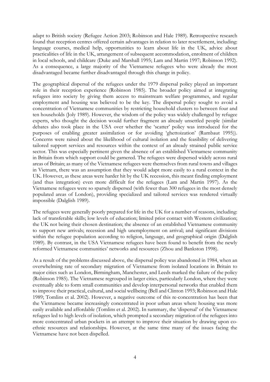adapt to British society (Refugee Action 2003; Robinson and Hale 1989). Retrospective research found that reception centres offered certain advantages in relation to later resettlement, including: language courses, medical help, opportunities to learn about life in the UK, advice about practicalities of life in the UK, arrangement of subsequent accommodation, enrolment of children in local schools, and childcare (Duke and Marshall 1995; Lam and Martin 1997; Robinson 1992). As a consequence, a large majority of the Vietnamese refugees who were already the most disadvantaged became further disadvantaged through this change in policy.

The geographical dispersal of the refugees under the 1979 dispersal policy played an important role in their reception experience (Robinson 1985). The broader policy aimed at integrating refugees into society by giving them access to mainstream welfare programmes, and regular employment and housing was believed to be the key. The dispersal policy sought to avoid a concentration of Vietnamese communities by restricting household clusters to between four and ten households (Joly 1989). However, the wisdom of the policy was widely challenged by refugee experts, who thought the decision would further fragment an already unsettled people (similar debates also took place in the USA over whether the 'scatter' policy was introduced for the purposes of enabling greater assimilation or for avoiding 'ghettoization' (Rumbaut 1995)). Concerns were raised about the likelihood of cultural isolation and the feasibility of delivering tailored support services and resources within the context of an already strained public service sector. This was especially pertinent given the absence of an established Vietnamese community in Britain from which support could be garnered. The refugees were dispersed widely across rural areas of Britain; as many of the Vietnamese refugees were themselves from rural towns and villages in Vietnam, there was an assumption that they would adapt more easily to a rural context in the UK. However, as these areas were harder hit by the UK recession, this meant finding employment (and thus integration) even more difficult for the refugees (Lam and Martin 1997). As the Vietnamese refugees were so sparsely dispersed (with fewer than 300 refugees in the most densely populated areas of London), providing specialized and tailored services was rendered virtually impossible (Dalglish 1989).

The refugees were generally poorly prepared for life in the UK for a number of reasons, including: lack of transferable skills; low levels of education; limited prior contact with Western civilization; the UK not being their chosen destination; the absence of an established Vietnamese community to support new arrivals; recession and high unemployment on arrival; and significant divisions within the refugee population according to religion, language, and geographical origin (Dalglish 1989). By contrast, in the USA Vietnamese refugees have been found to benefit from the newly reformed Vietnamese communities' networks and resources (Zhou and Bankston 1998).

As a result of the problems discussed above, the dispersal policy was abandoned in 1984, when an overwhelming rate of secondary migration of Vietnamese from isolated locations in Britain to major cities such as London, Birmingham, Manchester, and Leeds marked the failure of the policy (Robinson 1985). The Vietnamese regrouped in larger cities, particularly London, where they were eventually able to form small communities and develop interpersonal networks that enabled them to improve their practical, cultural, and social wellbeing (Bell and Clinton 1993; Robinson and Hale 1989; Tomlins et al. 2002). However, a negative outcome of this re-concentration has been that the Vietnamese became increasingly concentrated in poor urban areas where housing was more easily available and affordable (Tomlins et al. 2002). In summary, the 'dispersal' of the Vietnamese refugees led to high levels of isolation, which prompted a secondary migration of the refugees into more concentrated urban pockets in an attempt to improve their situation by drawing upon coethnic resources and relationships. However, at the same time many of the issues facing the Vietnamese have not been dispelled.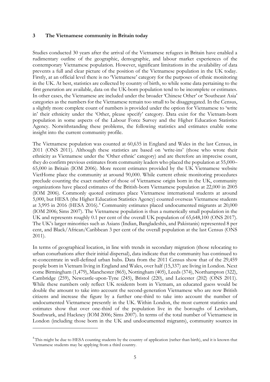## **3 The Vietnamese community in Britain today**

Studies conducted 30 years after the arrival of the Vietnamese refugees in Britain have enabled a rudimentary outline of the geographic, demographic, and labour market experiences of the contemporary Vietnamese population. However, significant limitations in the availability of data prevents a full and clear picture of the position of the Vietnamese population in the UK today. Firstly, at an official level there is no 'Vietnamese' category for the purposes of ethnic monitoring in the UK. At best, statistics are collected by country of birth, so while some data pertaining to the first generation are available, data on the UK-born population tend to be incomplete or estimates. In other cases, the Vietnamese are included under the broader 'Chinese Other' or 'Southeast Asia' categories as the numbers for the Vietnamese remain too small to be disaggregated. In the Census, a slightly more complete count of numbers is provided under the option for Vietnamese to 'write in' their ethnicity under the 'Other, please specify' category. Data exist for the Vietnam-born population in some aspects of the Labour Force Survey and the Higher Education Statistics Agency. Notwithstanding these problems, the following statistics and estimates enable some insight into the current community profile.

The Vietnamese population was counted at 60,635 in England and Wales in the last Census, in 2011 (ONS 2011). Although these statistics are based on 'write-ins' (those who wrote their ethnicity as Vietnamese under the 'Other ethnic' category) and are therefore an imprecise count, they do confirm previous estimates from community leaders who placed the population at 55,000– 65,000 in Britain (IOM 2006). More recent estimates provided by the UK Vietnamese website VietHome place the community at around 90,000. While current ethnic monitoring procedures preclude counting the exact number of those of Vietnamese origin born in the UK, community organizations have placed estimates of the British-born Vietnamese population at 22,000 in 2005 (IOM 2006). Commonly quoted estimates place Vietnamese international students at around 5,000, but HESA (the Higher Education Statistics Agency) counted overseas Vietnamese students at 3,995 in 2016 (HESA 2016). [4](#page-6-0) Community estimates placed undocumented migrants at 20,000 (IOM 2006; Sims 2007). The Vietnamese population is thus a numerically small population in the UK and represents roughly 0.1 per cent of the overall UK population of 65,648,100 (ONS 2017). The UK's larger minorities such as Asians (Indian, Bangladeshis, and Pakistanis) represented 8 per cent, and Black/African/Caribbean 3 per cent of the overall population at the last Census (ONS 2011).

In terms of geographical location, in line with trends in secondary migration (those relocating to urban conurbations after their initial dispersal), data indicate that the community has continued to re-concentrate in well-defined urban hubs. Data from the 2011 Census show that of the 29,459 people born in Vietnam living in England and Wales, over half (15,337) are living in London. Next come Birmingham (1,479), Manchester (865), Nottingham (405), Leeds (374), Northampton (322), Cambridge (259), Newcastle-upon-Tyne (245), Bristol (220), and Leicester (202) (ONS 2011). While these numbers only reflect UK residents born in Vietnam, an educated guess would be double the amount to take into account the second-generation Vietnamese who are now British citizens and increase the figure by a further one-third to take into account the number of undocumented Vietnamese presently in the UK. Within London, the most current statistics and estimates show that over one-third of the population live in the boroughs of Lewisham, Southwark, and Hackney (IOM 2006; Sims 2007). In terms of the total number of Vietnamese in London (including those born in the UK and undocumented migrants), community sources in

<u>.</u>

<span id="page-6-0"></span><sup>&</sup>lt;sup>4</sup>This might be due to HESA counting students by the country of application (rather than birth), and it is known that Vietnamese students may be applying from a third country.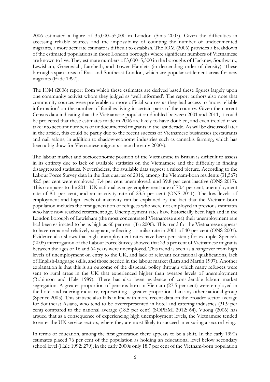2006 estimated a figure of 35,000–55,000 in London (Sims 2007). Given the difficulties in accessing reliable sources and the impossibility of counting the number of undocumented migrants, a more accurate estimate is difficult to establish. The IOM (2006) provides a breakdown of the estimated populations in those London boroughs where significant numbers of Vietnamese are known to live. They estimate numbers of 3,000–5,500 in the boroughs of Hackney, Southwark, Lewisham, Greenwich, Lambeth, and Tower Hamlets (in descending order of density). These boroughs span areas of East and Southeast London, which are popular settlement areas for new migrants (Eade 1997).

The IOM (2006) report from which these estimates are derived based these figures largely upon one community activist whom they judged as 'well informed'. The report authors also note that community sources were preferable to more official sources as they had access to 'more reliable information' on the number of families living in certain parts of the country. Given the current Census data indicating that the Vietnamese population doubled between 2001 and 2011, it could be projected that these estimates made in 2006 are likely to have doubled, and even trebled if we take into account numbers of undocumented migrants in the last decade. As will be discussed later in the article, this could be partly due to the recent success of Vietnamese businesses (restaurants and nail salons, in addition to shadow-economy industries such as cannabis farming, which has been a big draw for Vietnamese migrants since the early 2000s).

The labour market and socioeconomic position of the Vietnamese in Britain is difficult to assess in its entirety due to lack of available statistics on the Vietnamese and the difficulty in finding disaggregated statistics. Nevertheless, the available data suggest a mixed picture. According to the Labour Force Survey data in the first quarter of 2016, among the Vietnam-born residents (31,567) 42.5 per cent were employed, 7.4 per cent unemployed, and 39.8 per cent inactive (ONS 2017). This compares to the 2011 UK national average employment rate of 70.4 per cent, unemployment rate of 8.1 per cent, and an inactivity rate of 23.3 per cent (ONS 2011). The low levels of employment and high levels of inactivity can be explained by the fact that the Vietnam-born population includes the first generation of refugees who were not employed in previous estimates who have now reached retirement age. Unemployment rates have historically been high and in the London borough of Lewisham (the most concentrated Vietnamese area) their unemployment rate had been estimated to be as high as 60 per cent (Tu 2000). This trend for the Vietnamese appears to have remained relatively stagnant, reflecting a similar rate in 2001 of 40 per cent (ONS 2001). Evidence also shows that high unemployment rates have been persistent; for example, Spence's (2005) interrogation of the Labour Force Survey showed that 23.5 per cent of Vietnamese migrants between the ages of 16 and 64 years were unemployed. This trend is seen as a hangover from high levels of unemployment on entry to the UK, and lack of relevant educational qualifications, lack of English-language skills, and those needed in the labour market (Lam and Martin 1997). Another explanation is that this is an outcome of the dispersal policy through which many refugees were sent to rural areas in the UK that experienced higher than average levels of unemployment (Robinson and Hale 1989). There has also been evidence of considerable labour market segregation. A greater proportion of persons born in Vietnam (27.5 per cent) were employed in the hotel and catering industry, representing a greater proportion than any other national group (Spence 2005). This statistic also falls in line with more recent data on the broader sector average for Southeast Asians, who tend to be overrepresented in hotel and catering industries (31.9 per cent) compared to the national average (18.5 per cent) (SOPEMI 2012: 64). Vuong (2006) has argued that as a consequence of experiencing high unemployment levels, the Vietnamese tended to enter the UK service sectors, where they are most likely to succeed in ensuring a secure living.

In terms of education, among the first generation there appears to be a shift. In the early 1990s estimates placed 76 per cent of the population as holding an educational level below secondary school level (Hale 1992: 279); in the early 2000s only 18.7 per cent of the Vietnam-born population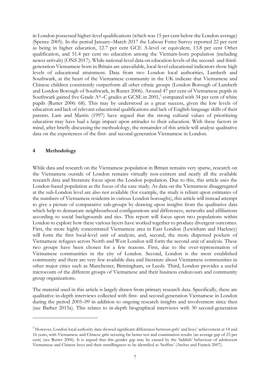in London possessed higher-level qualifications (which was 15 per cent below the London average) (Spence 2005). In the period January–March 2017 the Labour Force Survey reported 22 per cent as being in higher education, 12.7 per cent GCE A-level or equivalent, 13.8 per cent Other qualification, and 51.4 per cent no education among the Vietnam-born population (including newer arrivals) (ONS 2017). While national-level data on education levels of the second- and thirdgeneration Vietnamese born in Britain are unavailable, local-level educational indicators show high levels of educational attainment. Data from two London local authorities, Lambeth and Southwark, at the heart of the Vietnamese community in the UK indicate that Vietnamese and Chinese children consistently outperform all other ethnic groups (London Borough of Lambeth and London Borough of Southwark, in Rutter 2006). Around 47 per cent of Vietnamese pupils in Southwark gained five Grade A\*–C grades at GCSE in 2001, [5](#page-8-0) compared with 34 per cent of white pupils (Rutter 2006: 68). This may by understood as a great success, given the low levels of education and lack of relevant educational qualifications and lack of English-language skills of their parents. Lam and Martin (1997) have argued that the strong cultural values of prioritizing education may have had a large impact upon attitudes to their education. With these factors in mind, after briefly discussing the methodology, the remainder of this article will analyse qualitative data on the experiences of the first- and second-generation Vietnamese in London.

## **4 Methodology**

-

While data and research on the Vietnamese population in Britain remains very sparse, research on the Vietnamese outside of London remains virtually non-existent and nearly all the available research data and literature focus upon the London population. Due to this, this article uses the London-based population as the focus of the case study. As data on the Vietnamese disaggregated at the sub-London level are also not available (for example, the study is reliant upon estimates of the numbers of Vietnamese residents in various London boroughs), this article will instead attempt to give a picture of comparative sub-groups by drawing upon insights from the qualitative data which help to demarcate neighbourhood configurations and differences, networks and affiliations according to social backgrounds and ties. This report will focus upon two populations within London to explore how these various layers have worked together to produce divergent outcomes. First, the more highly concentrated Vietnamese area in East London (Lewisham and Hackney) will form the first local-level unit of analysis; and, second, the more dispersed pockets of Vietnamese refugees across North and West London will form the second unit of analysis. These two groups have been chosen for a few reasons. First, due to the over-representation of Vietnamese communities in the city of London. Second, London is the most established community and there are very few available data and literature about Vietnamese communities in other major cities such as Manchester, Birmingham, or Leeds. Third, London provides a useful microcosm of the different groups of Vietnamese and their business endeavours and community group organizations.

The material used in this article is largely drawn from primary research data. Specifically, these are qualitative in-depth interviews collected with first- and second-generation Vietnamese in London during the period 2005–09 in addition to ongoing research insights and involvement since then (see Barber 2015a). This relates to in-depth biographical interviews with 30 second-generation

<span id="page-8-0"></span><sup>5</sup> However, London local authority data showed significant differences between girls' and boys' achievement at 14 and 16 years, with Vietnamese and Chinese girls securing far better test and examination results (an average gap of 23 per cent) (see Rutter 2006). It is argued that this gender gap may be caused by the 'laddish' behaviour of adolescent Vietnamese and Chinese boys and their unwillingness to be identified as 'boffins' (Archer and Francis 2007).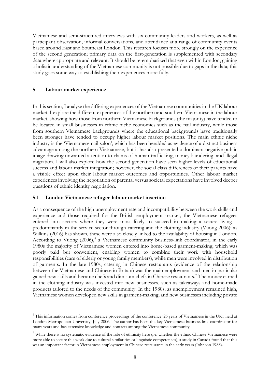Vietnamese and semi-structured interviews with six community leaders and workers, as well as participant observation, informal conversations, and attendance at a range of community events based around East and Southeast London. This research focuses more strongly on the experience of the second generation; primary data on the first-generation is supplemented with secondary data where appropriate and relevant. It should be re-emphasized that even within London, gaining a holistic understanding of the Vietnamese community is not possible due to gaps in the data; this study goes some way to establishing their experiences more fully.

# **5 Labour market experience**

-

In this section, I analyse the differing experiences of the Vietnamese communities in the UK labour market. I explore the different experiences of the northern and southern Vietnamese in the labour market, showing how those from northern Vietnamese backgrounds (the majority) have tended to be located in small businesses in ethnic niche economies such as the nail industry, while those from southern Vietnamese backgrounds where the educational backgrounds have traditionally been stronger have tended to occupy higher labour market positions. The main ethnic niche industry is the 'Vietnamese nail salon', which has been heralded as evidence of a distinct business advantage among the northern Vietnamese, but it has also presented a dominant negative public image drawing unwanted attention to claims of human trafficking, money laundering, and illegal migration. I will also explore how the second generation have seen higher levels of educational success and labour market integration; however, the social class differences of their parents have a visible effect upon their labour market outcomes and opportunities. Other labour market experiences involving the negotiation of parental versus societal expectations have involved deeper questions of ethnic identity negotiation.

## **5.1 London Vietnamese refugee labour market insertion**

As a consequence of the high unemployment rate and incompatibility between the work skills and experience and those required for the British employment market, the Vietnamese refugees entered into sectors where they were most likely to succeed in making a secure living predominantly in the service sector through catering and the clothing industry (Vuong 2006); as Wilkins (2016) has shown, these were also closely linked to the availability of housing in London. According to Vuong (2006), [6](#page-9-0) a Vietnamese community business-link coordinator, in the early 1980s the majority of Vietnamese women entered into home-based garment-making, which was poorly paid but convenient, enabling women to combine their work with household responsibilities (care of elderly or young family members), while men were involved in distribution of garments. In the late 1980s, catering in Chinese restaurants (evidence of the relationship between the Vietnamese and Chinese in Britain) was the main employment and men in particular gained new skills and became chefs and dim sum chefs in Chinese restaurants. [7](#page-9-1) The money earned in the clothing industry was invested into new businesses, such as takeaways and home-made products tailored to the needs of the community. In the 1980s, as unemployment remained high, Vietnamese women developed new skills in garment-making, and new businesses including private

<span id="page-9-0"></span><sup>&</sup>lt;sup>6</sup> This information comes from conference proceedings of the conference '25 years of Vietnamese in the UK', held at London Metropolitan University, July 2006. The author has been the key Vietnamese business-link coordinator for many years and has extensive knowledge and contacts among the Vietnamese community.

<span id="page-9-1"></span> $7$  While there is no systematic evidence of the role of ethnicity here (i.e. whether the ethnic Chinese Vietnamese were more able to secure this work due to cultural similarities or linguistic competences), a study in Canada found that this was an important factor in Vietnamese employment in Chinese restaurants in the early years (Johnson 1988).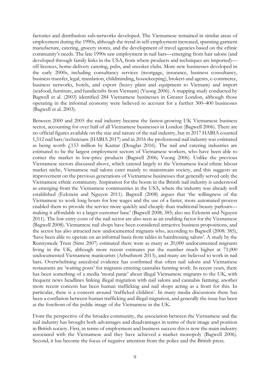factories and distribution sub-networks developed. The Vietnamese remained in similar areas of employment during the 1990s, although the trend in self-employment increased, spanning garment manufacture, catering, grocery stores, and the development of travel agencies based on the ethnic community's needs. The late 1990s saw employment in nail bars—emerging from hair salons (and developed through family links in the USA, from where products and techniques are imported) off licences, home-delivery catering, pubs, and snooker clubs. More new businesses developed in the early 2000s, including consultancy services (mortgage, insurance, business consultancy, business transfer, legal, translation, childminding, housekeeping), brokers and agents, e-commerce, business networks, hotels, and export (heavy plant and equipment to Vietnam) and import (seafood, furniture, and handicrafts from Vietnam) (Vuong 2006). A mapping study conducted by Bagwell et al. (2003) identified 284 Vietnamese businesses in Greater London, although those operating in the informal economy were believed to account for a further 300–400 businesses (Bagwell et al. 2003).

Between 2000 and 2005 the nail industry became the fastest-growing UK Vietnamese business sector, accounting for over half of all Vietnamese businesses in London (Bagwell 2006). There are no official figures available on the size and nature of the nail industry, but in 2017 HABIA counted 1,512 nail bars/technicians (HABIA 2017) and in 2016 the professional nail industry was estimated as being worth £153 million by Kantar (Douglas 2016). The nail and catering industries are estimated to be the largest employment sectors of Vietnamese workers, who have been able to corner the market in low-price products (Bagwell 2006; Vuong 2006). Unlike the previous Vietnamese sectors discussed above, which catered largely to the Vietnamese local ethnic labour market niche, Vietnamese nail salons cater mainly to mainstream society, and this suggests an improvement on the previous generations of Vietnamese businesses that generally served only the Vietnamese ethnic community. Inspiration for the boom in the British nail industry is understood as emerging from the Vietnamese communities in the USA, where the industry was already well established (Eckstein and Nguyen 2011). Bagwell (2008) argues that 'the willingness of the Vietnamese to work long hours for low wages and the use of a faster, more automated process enabled them to provide the service more quickly and cheaply than traditional beauty parlours making it affordable to a larger customer base' (Bagwell 2008; 385; also see Eckstein and Nguyen 2011). The low entry costs of the nail sector are also seen as an enabling factor for the Vietnamese (Bagwell 2008). Vietnamese nail shops have been considered attractive business propositions, and the sector has also attracted new undocumented migrants who, according to Bagwell (2008: 385), 'have been able to operate on an informal basis from tables in hairdressing salons'. A study by the Runnymede Trust (Sims 2007) estimated there were as many as 20,000 undocumented migrants living in the UK, although more recent estimates put the number much higher at 71,000 undocumented Vietnamese manicurists (Arbuthnott 2013), and many are believed to work in nail bars. Overwhelming anecdotal evidence has confirmed that often nail salons and Vietnamese restaurants are 'waiting posts' for migrants entering cannabis farming work. In recent years, there has been something of a media 'moral panic' about illegal Vietnamese migrants to the UK, with frequent news headlines linking illegal migration with nail salons and cannabis farming; another more recent concern has been human trafficking and nail shops acting as a front for this. In particular, there is a concern around 'trafficked children'. In many media discussions there has been a conflation between human trafficking and illegal migration, and generally the issue has been at the forefront of the public image of the Vietnamese in the UK.

From the perspective of the broader community, the association between the Vietnamese and the nail industry has brought both advantages and disadvantages in terms of their image and position in British society. First, in terms of employment and business success this is now the main industry associated with the Vietnamese and they have achieved a market monopoly (Bagwell 2006). Second, it has become the focus of negative attention from the police and the British press.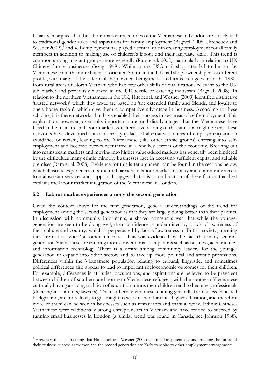It has been argued that the labour market trajectories of the Vietnamese in London are closely tied to traditional gender roles and aspirations for family employment (Bagwell 2008; Hitchcock and Wesner 2009), [8](#page-11-0) and self-employment has played a central role in creating employment for all family members in addition to making use of children's labour and their language skills. This trend is common among migrant groups more generally (Ram et al. 2008), particularly in relation to UK Chinese family businesses (Song 1999). While in the USA nail shops tended to be run by Vietnamese from the more business-oriented South, in the UK nail shop ownership has a different profile, with many of the older nail shop owners being the less-educated refugees from the 1980s from rural areas of North Vietnam who had few other skills or qualifications relevant to the UK job market and previously worked in the UK textile or catering industries (Bagwell 2008). In relation to the northern Vietnamese in the UK, Hitchcock and Wesner (2009) identified distinctive 'trusted networks' which they argue are based on 'the extended family and friends, and loyalty to one's home region', which give them a competitive advantage in business. According to these scholars, it is these networks that have enabled their success in key areas of self-employment. This explanation, however, overlooks important structural disadvantages that the Vietnamese have faced in the mainstream labour market. An alternative reading of this situation might be that these networks have developed out of necessity (a lack of alternative sources of employment) and an avoidance of racism, leading to the Vietnamese (like other ethnic groups) entering into selfemployment and become over-concentrated in a few key sectors of the economy. Breaking out into mainstream markets and moving into higher value-added markets has generally been hindered by the difficulties many ethnic minority businesses face in accessing sufficient capital and suitable premises (Ram et al. 2008). Evidence for this latter argument can be found in the sections below, which illustrate experiences of structural barriers in labour market mobility and community access to mainstream services and support. I suggest that it is a combination of these factors that best explains the labour market integration of the Vietnamese in London.

## **5.2 Labour market experiences among the second generation**

<u>.</u>

Given the context above for the first generation, general understandings of the trend for employment among the second generation is that they are largely doing better than their parents. In discussion with community informants, a shared consensus was that while the younger generation are seen to be doing well, their confidence is undermined by a lack of awareness of their culture and country, which is perpetuated by lack of awareness in British society, meaning they are not as 'vocal' as other minorities. This was evidenced by the fact that many secondgeneration Vietnamese are entering more conventional occupations such as business, accountancy, and information technology. There is a desire among community leaders for the younger generation to expand into other sectors and to take up more political and artistic professions. Differences within the Vietnamese population relating to cultural, linguistic, and sometimes political differences also appear to lead to important socioeconomic outcomes for their children. For example, differences in attitudes, occupations, and aspirations are believed to be prevalent between children of southern and northern Vietnamese refugees, with the southern Vietnamese culturally having a strong tradition of education means their children tend to become professionals (doctors/accountants/lawyers). The northern Vietnamese, coming generally from a less-educated background, are more likely to go straight to work rather than into higher education, and therefore more of them can be seen in businesses such as restaurants and manual work. Ethnic Chinese-Vietnamese were traditionally strong entrepreneurs in Vietnam and have tended to succeed by running small businesses in London (a similar trend was found in Canada; see Johnson 1988).

<span id="page-11-0"></span><sup>&</sup>lt;sup>8</sup> However, this is something that Hitchcock and Wesner (2009) identified as potentially undermining the future of their business success as women and the second generation are likely to aspire to other employment arrangements.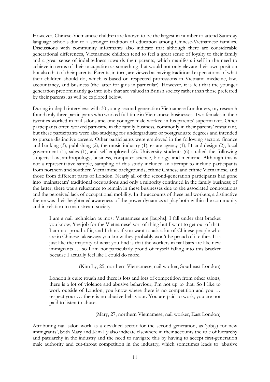However, Chinese-Vietnamese children are known to be the largest in number to attend Saturday language schools due to a stronger tradition of education among Chinese-Vietnamese families. Discussions with community informants also indicate that although there are considerable generational differences, Vietnamese children tend to feel a great sense of loyalty to their family and a great sense of indebtedness towards their parents, which manifests itself in the need to achieve in terms of their occupation as something that would not only elevate their own position but also that of their parents. Parents, in turn, are viewed as having traditional expectations of what their children should do, which is based on respected professions in Vietnam: medicine, law, accountancy, and business (the latter for girls in particular). However, it is felt that the younger generation predominantly go into jobs that are valued in British society rather than those preferred by their parents, as will be explored below.

During in-depth interviews with 30 young second-generation Vietnamese Londoners, my research found only three participants who worked full-time in Vietnamese businesses. Two females in their twenties worked in nail salons and one younger male worked in his parents' supermarket. Other participants often worked part-time in the family business, commonly in their parents' restaurant, but these participants were also studying for undergraduate or postgraduate degrees and intended to pursue distinctive careers. Other participants were employed in the following sectors: finance and banking (3), publishing (2), the music industry (1), estate agency (1), IT and design (2), local government (1), sales (1), and self-employed (2). University students (6) studied the following subjects: law, anthropology, business, computer science, biology, and medicine. Although this is not a representative sample, sampling of this study included an attempt to include participants from northern and southern Vietnamese backgrounds, ethnic Chinese and ethnic Vietnamese, and those from different parts of London. Nearly all of the second-generation participants had gone into 'mainstream' traditional occupations and only a minority continued in the family business; of the latter, there was a reluctance to remain in these businesses due to the associated connotations and the perceived lack of occupational mobility. In the accounts of these nail workers, a distinctive theme was their heightened awareness of the power dynamics at play both within the community and in relation to mainstream society:

I am a nail technician as most Vietnamese are [laughs]. I fall under that bracket you know, 'the job for the Vietnamese' sort of thing but I want to get out of that. I am not proud of it, and I think if you want to ask a lot of Chinese people who are in Chinese takeaways you know they probably won't be proud of it either. It is just like the majority of what you find is that the workers in nail bars are like new immigrants … so I am not particularly proud of myself falling into this bracket because I actually feel like I could do more.

# (Kim Ly, 25, northern Vietnamese, nail worker, Southeast London)

London is quite rough and there is lots and lots of competition from other salons, there is a lot of violence and abusive behaviour, I'm not up to that. So I like to work outside of London, you know where there is no competition and you … respect your … there is no abusive behaviour. You are paid to work, you are not paid to listen to abuse.

## (Mary, 27, northern Vietnamese, nail worker, East London)

Attributing nail salon work as a devalued sector for the second generation, as 'job(s) for new immigrants', both Mary and Kim Ly also indicate elsewhere in their accounts the role of hierarchy and patriarchy in the industry and the need to navigate this by having to accept first-generation male authority and cut-throat competition in the industry, which sometimes leads to 'abusive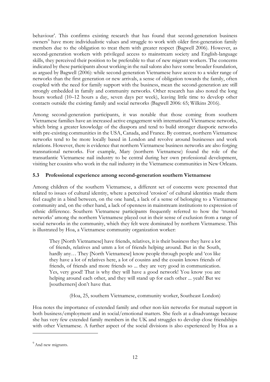behaviour'. This confirms existing research that has found that second-generation business owners<sup>[9](#page-13-0)</sup> have more individualistic values and struggle to work with older first-generation family members due to the obligation to treat them with greater respect (Bagwell 2006). However, as second-generation workers with privileged access to mainstream society and English-language skills, they perceived their position to be preferable to that of new migrant workers. The concerns indicated by these participants about working in the nail salons also have some broader foundation, as argued by Bagwell (2006): while second-generation Vietnamese have access to a wider range of networks than the first generation or new arrivals, a sense of obligation towards the family, often coupled with the need for family support with the business, mean the second-generation are still strongly embedded in family and community networks. Other research has also noted the long hours worked (10–12 hours a day, seven days per week), leaving little time to develop other contacts outside the existing family and social networks (Bagwell 2006: 65; Wilkins 2016).

Among second-generation participants, it was notable that those coming from southern Vietnamese families have an increased active engagement with international Vietnamese networks, which bring a greater knowledge of the diaspora and tend to build stronger diasporic networks with pre-existing communities in the USA, Canada, and France. By contrast, northern Vietnamese networks tend to be more locally based in London and revolve around businesses and work relations. However, there is evidence that northern Vietnamese business networks are also forging transnational networks. For example, Mary (northern Vietnamese) found the role of the transatlantic Vietnamese nail industry to be central during her own professional development, visiting her cousins who work in the nail industry in the Vietnamese communities in New Orleans.

# **5.3 Professional experience among second-generation southern Vietnamese**

Among children of the southern Vietnamese, a different set of concerns were presented that related to issues of cultural identity, where a perceived 'erosion' of cultural identities made them feel caught in a bind between, on the one hand, a lack of a sense of belonging to a Vietnamese community and, on the other hand, a lack of openness in mainstream institutions to expression of ethnic difference. Southern Vietnamese participants frequently referred to how the 'trusted networks' among the northern Vietnamese played out in their sense of exclusion from a range of social networks in the community, which they felt were dominated by northern Vietnamese. This is illustrated by Hoa, a Vietnamese community organization worker:

They [North Vietnamese] have friends, relatives, it is their business they have a lot of friends, relatives and umm a lot of friends helping around. But in the South, hardly any... They [North Vietnamese] know people through people and 'cos like they have a lot of relatives here, a lot of cousins and the cousin knows friends of friends, of friends and more friends so ... they are very good in communication. Yes, very good! That is why they will have a good network! You know you are helping around each other, and they will stand up for each other ... yeah! But we [southerners] don't have that.

# (Hoa, 25, southern Vietnamese, community worker, Southeast London)

Hoa notes the importance of extended family and other non-kin networks for mutual support in both business/employment and in social/emotional matters. She feels at a disadvantage because she has very few extended family members in the UK and struggles to develop close friendships with other Vietnamese. A further aspect of the social divisions is also experienced by Hoa as a

-

<span id="page-13-0"></span><sup>&</sup>lt;sup>9</sup> And new migrants.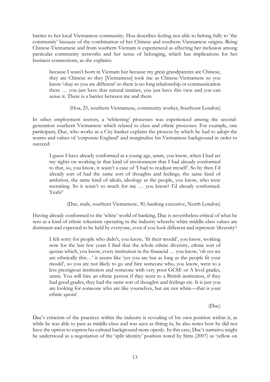barrier to her local Vietnamese community. Hoa describes feeling not able to belong fully to 'the community' because of the combination of her Chinese and southern Vietnamese origins. Being Chinese-Vietnamese and from southern Vietnam is experienced as affecting her inclusion among particular community networks and her sense of belonging, which has implications for her business connections, as she explains:

because I wasn't born in Vietnam but because my great grandparents are Chinese, they are Chinese so they [Vietnamese] took me as Chinese-Vietnamese so you know 'okay so you are different' so there is no long relationship or communication there … you just have that natural instinct, you just have this view and you can sense it. There is a barrier between me and them.

(Hoa, 25, southern Vietnamese, community worker, Southeast London)

In other employment sectors, a 'whitening' processes was experienced among the secondgeneration southern Vietnamese which related to class and ethnic processes. For example, one participant, Duc, who works as a City banker explains the process by which he had to adopt the norms and values of 'corporate England' and marginalize his Vietnamese background in order to succeed:

I guess I have already conformed at a young age, umm, you know, when I had set my sights on working in that kind of environment that I had already conformed to that, so, you know, it wasn't a case of 'I had to readjust myself'. So by then I'd already sort of had the same sort of thoughts and feelings, the same kind of ambition, the same kind of ideals, ideology as the people, you know, who were recruiting. So it wasn't so much for me … you know? I'd already conformed. Yeah?'

(Duc, male, southern Vietnamese, 30, banking executive, North London)

Having already conformed to the 'white' world of banking, Duc is nevertheless critical of what he sees as a kind of ethnic tokenism operating in the industry whereby white middle-class values are dominant and expected to be held by everyone, even if you look different and represent 'diversity':

I felt sorry for people who didn't, you know, 'fit their mould', you know, working now for the last few years I find that the whole ethnic diversity, ethnic sort of quotas which, you know, every institution in the financial … you know, 'oh yes we are ethnically this…' it seems like 'yes you are but as long as the people fit your mould', so you are not likely to go and hire someone who, you know, went to a less prestigious institution and someone with very poor GCSE or A level grades, umm. You will hire an ethnic person if they went to a British institution, if they had good grades, they had the same sort of thoughts and feelings etc. It is just you are looking for someone who are like yourselves, but are not white—that is your ethnic quota!

(Duc)

Duc's criticism of the practices within the industry is revealing of his own position within it, as while he was able to pass as middle-class and was seen as fitting in, he also notes how he did not have the option to express his cultural background more openly. In this case, Duc's narrative might be understood as a negotiation of the 'split identity' position noted by Sims (2007) as 'yellow on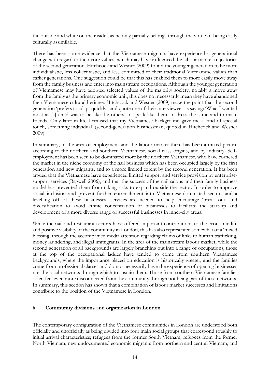the outside and white on the inside', as he only partially belongs through the virtue of being easily culturally assimilable.

There has been some evidence that the Vietnamese migrants have experienced a generational change with regard to their core values, which may have influenced the labour market trajectories of the second generation. Hitchcock and Wesner (2009) found the younger generation to be more individualistic, less collectivistic, and less committed to their traditional Vietnamese values than earlier generations. One suggestion could be that this has enabled them to more easily move away from the family business and enter into mainstream occupations. Although the younger generation of Vietnamese may have adopted selected values of the majority society, notably a move away from the family as the primary economic unit, this does not necessarily mean they have abandoned their Vietnamese cultural heritage. Hitchcock and Wesner (2009) make the point that the second generation 'prefers to adapt quickly', and quote one of their interviewees as saying: 'What I wanted most as [a] child was to be like the others, to speak like them, to dress the same and to make friends. Only later in life I realised that my Vietnamese background gave me a kind of special touch, something individual' (second-generation businessman, quoted in Hitchcock and Wesner 2009).

In summary, in the area of employment and the labour market there has been a mixed picture according to the northern and southern Vietnamese, social class origins, and by industry. Selfemployment has been seen to be dominated more by the northern Vietnamese, who have cornered the market in the niche economy of the nail business which has been occupied largely by the first generation and new migrants, and to a more limited extent by the second generation. It has been argued that the Vietnamese have experienced limited support and service provision by enterprisesupport services (Bagwell 2006), and that the success of the nail salons and their family business model has prevented them from taking risks to expand outside the sector. In order to improve social inclusion and prevent further entrenchment into Vietnamese-dominated sectors and a levelling off of these businesses, services are needed to help encourage 'break out' and diversification to avoid ethnic concentration of businesses to facilitate the start-up and development of a more diverse range of successful businesses in inner-city areas.

While the nail and restaurant sectors have offered important contributions to the economic life and positive visibility of the community in London, this has also represented somewhat of a 'mixed blessing' through the accompanied media attention regarding claims of links to human trafficking, money laundering, and illegal immigrants. In the area of the mainstream labour market, while the second generation of all backgrounds are largely branching out into a range of occupations, those at the top of the occupational ladder have tended to come from southern Vietnamese backgrounds, where the importance placed on education is historically greater, and the families come from professional classes and do not necessarily have the experience of opening businesses nor the local networks through which to sustain them. Those from southern Vietnamese families often feel even more disconnected from the community through not being part of these networks. In summary, this section has shown that a combination of labour market successes and limitations contribute to the position of the Vietnamese in London.

# **6 Community divisions and organization in London**

The contemporary configuration of the Vietnamese communities in London are understood both officially and unofficially as being divided into four main social groups that correspond roughly to initial arrival characteristics; refugees from the former South Vietnam, refugees from the former North Vietnam, new undocumented economic migrants from northern and central Vietnam, and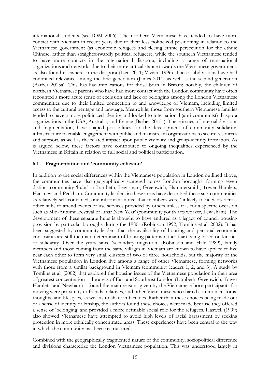international students (see IOM 2006). The northern Vietnamese have tended to have more contact with Vietnam in recent years due to their less politicized positioning in relation to the Vietnamese government (as economic refugees and fleeing ethnic persecution for the ethnic Chinese, rather than straightforwardly political refugees), while the southern Vietnamese tended to have more contacts in the international diaspora, including a range of transnational organizations and networks due to their more critical stance towards the Vietnamese government, as also found elsewhere in the diaspora (Lieu 2011; Viviani 1996). These subdivisions have had continued relevance among the first generation (James 2011) as well as the second generation (Barber 2015a). This has had implications for those born in Britain; notably, the children of northern Vietnamese parents who have had more contact with the London community have often recounted a more acute sense of exclusion and lack of belonging among the London Vietnamese communities due to their limited connection to and knowledge of Vietnam, including limited access to the cultural heritage and language. Meanwhile, those from southern Vietnamese families tended to have a more politicized identity and looked to international (anti-communist) diaspora organizations in the USA, Australia, and France (Barber 2015a). These issues of internal divisions and fragmentation, have shaped possibilities for the development of community solidarity, infrastructure to enable engagement with public and mainstream organizations to secure resources and support, as well as the related impact upon public visibility and group-identity formation. As is argued below, these factors have contributed to ongoing inequalities experienced by the Vietnamese in Britain in relation to full social and political participation.

## **6.1 Fragmentation and 'community cohesion'**

In addition to the social differences within the Vietnamese population in London outlined above, the communities have also geographically scattered across London boroughs, forming seven distinct community 'hubs' in Lambeth, Lewisham, Greenwich, Hammersmith, Tower Hamlets, Hackney, and Peckham. Community leaders in these areas have described these sub-communities as relatively self-contained; one informant noted that members were 'unlikely to network across other hubs to attend events or use services provided by others unless it is for a specific occasion such as Mid-Autumn Festival or lunar New Year' (community youth arts worker, Lewisham). The development of these separate hubs is thought to have endured as a legacy of council housing provision by particular boroughs during the 1980s (Robinson 1992; Tomlins et al. 2002). It has been suggested by community leaders that the availability of housing and personal economic constraints are still the main determinant of housing patterns rather than being based on kin ties or solidarity. Over the years since 'secondary migration' (Robinson and Hale 1989), family members and those coming from the same villages in Vietnam are known to have applied to live near each other to form very small clusters of two or three households, but the majority of the Vietnamese population in London live among a range of other Vietnamese, forming networks with those from a similar background in Vietnam (community leaders 1, 2, and 3). A study by Tomlins et al. (2002) that explored the housing issues of the Vietnamese population in their area of greatest concentration—the areas of East and Southeast London (Lambeth, Greenwich, Tower Hamlets, and Newham)—found the main reasons given by the Vietnamese-born participants for moving were proximity to friends, relatives, and other Vietnamese who shared common customs, thoughts, and lifestyles, as well as to share in facilities. Rather than these choices being made out of a sense of identity or kinship, the authors found these choices were made because they offered a sense of 'belonging' and provided a more definable social role for the refugees. Haswell (1999) also showed Vietnamese have attempted to avoid high levels of racial harassment by seeking protection in more ethnically concentrated areas. These experiences have been central to the way in which the community has been restructured.

Combined with the geographically fragmented nature of the community, sociopolitical difference and divisions characterize the London Vietnamese population. This was understood largely in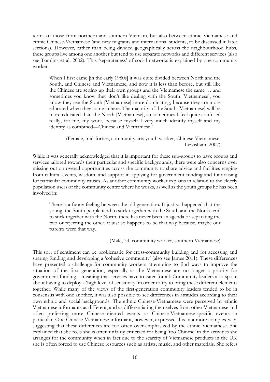terms of those from northern and southern Vietnam, but also between ethnic Vietnamese and ethnic Chinese-Vietnamese (and new migrants and international students, to be discussed in later sections). However, rather than being divided geographically across the neighbourhood hubs, these groups live among one another but tend to use separate networks and different services (also see Tomlins et al. 2002). This 'separateness' of social networks is explained by one community worker:

When I first came [in the early 1980s] it was quite divided between North and the South, and Chinese and Vietnamese, and now it is less than before, but still like the Chinese are setting up their own groups and the Vietnamese the same … and sometimes you know they don't like dealing with the South [Vietnamese], you know they see the South [Vietnamese] more dominating, because they are more educated when they come in here. The majority of the South [Vietnamese] will be more educated than the North [Vietnamese], so sometimes I feel quite confused really, for me, my work, because myself I very much identify myself and my identity as combined—Chinese and Vietnamese.'

(Female, mid-forties, community arts youth worker, Chinese-Vietnamese, Lewisham, 2007)

While it was generally acknowledged that it is important for these sub-groups to have groups and services tailored towards their particular and specific backgrounds, there were also concerns over missing out on overall opportunities across the community to share advice and facilities ranging from cultural events, wisdom, and support in applying for government funding and fundraising for particular community causes. As another community worker explains in relation to the elderly population users of the community centre where he works, as well as the youth groups he has been involved in:

There is a funny feeling between the old generation. It just so happened that the young, the South people tend to stick together with the South and the North tend to stick together with the North, there has never been an agenda of separating the two or rejecting the other, it just so happens to be that way because, maybe our parents were that way.

(Male, 34, community worker, southern Vietnamese)

This sort of sentiment can be problematic for cross-community building and for accessing and sharing funding and developing a 'cohesive community' (also see James 2011). These differences have presented a challenge for community workers attempting to find ways to improve the situation of the first generation, especially as the Vietnamese are no longer a priority for government funding—meaning that services have to cater for all. Community leaders also spoke about having to deploy a 'high level of sensitivity' in order to try to bring these different elements together. While many of the views of the first-generation community leaders tended to be in consensus with one another, it was also possible to see differences in attitudes according to their own ethnic and social backgrounds. The ethnic Chinese-Vietnamese were perceived by ethnic Vietnamese informants as different, and as differentiating themselves from other Vietnamese and often preferring more Chinese-oriented events or Chinese-Vietnamese-specific events in particular. One Chinese-Vietnamese informant, however, expressed this in a more complex way, suggesting that these differences are too often over-emphasized by the ethnic Vietnamese. She explained that she feels she is often unfairly criticized for being 'too Chinese' in the activities she arranges for the community when in fact due to the scarcity of Vietnamese products in the UK she is often forced to use Chinese resources such as artists, music, and other materials. She refers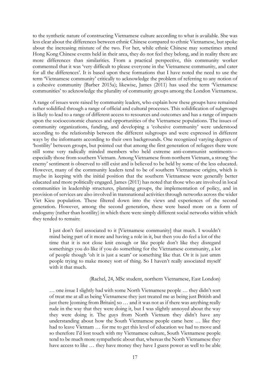to the synthetic nature of constructing Vietnamese culture according to what is available. She was less clear about the differences between ethnic Chinese compared to ethnic Vietnamese, but spoke about the increasing mixture of the two. For her, while ethnic Chinese may sometimes attend Hong Kong Chinese events held in their area, they do not feel they belong, and in reality there are more differences than similarities. From a practical perspective, this community worker commented that it was 'very difficult to please everyone in the Vietnamese community, and cater for all the differences'. It is based upon these formations that I have noted the need to use the term 'Vietnamese community' critically to acknowledge the problem of referring to any notion of a cohesive community (Barber 2015a); likewise, James (2011) has used the term 'Vietnamese communities' to acknowledge the plurality of community groups among the London Vietnamese.

A range of issues were raised by community leaders, who explain how these groups have remained rather solidified through a range of official and cultural processes. This solidification of subgroups is likely to lead to a range of different access to resources and outcomes and has a range of impacts upon the socioeconomic chances and opportunities of the Vietnamese populations. The issues of community organizations, funding, and developing a 'cohesive community' were understood according to the relationship between the different subgroups and were expressed in different ways by the informants according to their own backgrounds. One recognized varying degrees of 'hostility' between groups, but pointed out that among the first generation of refugees there were still some very radically minded members who held extreme anti-communist sentiments especially those from southern Vietnam. Among Vietnamese from northern Vietnam, a strong 'the enemy' sentiment is observed to still exist and is believed to be held by some of the less educated. However, many of the community leaders tend to be of southern Vietnamese origins, which is maybe in keeping with the initial position that the southern Vietnamese were generally better educated and more politically engaged. James (2011) has noted that those who are involved in local communities in leadership structures, planning groups, the implementation of policy, and in provision of services are also involved in transnational activities through networks across the wider Viet Kieu population. These filtered down into the views and experiences of the second generation. However, among the second generation, these were based more on a form of endogamy (rather than hostility) in which there were simply different social networks within which they tended to remain:

I just don't feel associated to it [Vietnamese community] that much. I wouldn't mind being part of it more and having a role in it, but then you do feel a lot of the time that it is not close knit enough or like people don't like they disregard somethings you do like if you do something for the Vietnamese community, a lot of people though 'oh it is just a scam' or something like that. Or it is just umm people trying to make money sort of thing. So I haven't really associated myself with it that much.

## (Rachel, 24, MSc student, northern Vietnamese, East London)

… one issue I slightly had with some North Vietnamese people … they didn't sort of treat me at all as being Vietnamese they just treated me as being just British and just there [coming from Britain] so … and it was not as if there was anything really rude in the way that they were doing it, but I was slightly annoyed about the way they were doing it. The guys from North Vietnam they didn't have any understanding about how the South Vietnamese people came here … like they had to leave Vietnam … for me to get this level of education we had to move and so therefore I'd lost touch with my Vietnamese culture, South Vietnamese people tend to be much more sympathetic about that, whereas the North Vietnamese they have access to like … they have money they have I guess power as well to be able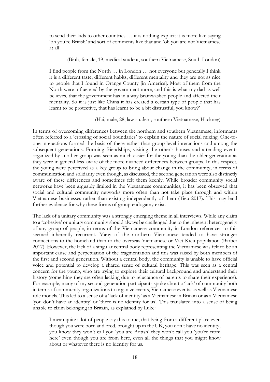to send their kids to other countries … it is nothing explicit it is more like saying 'oh you're British' and sort of comments like that and 'oh you are not Vietnamese at all'.

## (Binh, female, 19, medical student, southern Vietnamese, South London)

I find people from the North … in London … not everyone but generally I think it is a different taste, different habits, different mentality and they are not as nice to people that I found in Orange County [in America]. Most of them from the North were influenced by the government more, and this is what my dad as well believes, that the government has in a way brainwashed people and affected their mentality. So it is just like China it has created a certain type of people that has learnt to be protective, that has learnt to be a bit distrustful, you know?'

## (Hai, male, 28, law student, southern Vietnamese, Hackney)

In terms of overcoming differences between the northern and southern Vietnamese, informants often referred to a 'crossing of social boundaries' to explain the nature of social mixing. One-toone interactions formed the basis of these rather than group-level interactions and among the subsequent generations. Forming friendships, visiting the other's houses and attending events organized by another group was seen as much easier for the young than the older generation as they were in general less aware of the more nuanced differences between groups. In this respect, the young were perceived as a key group to bring about change in the community, in terms of communication and solidarity even though, as discussed, the second generation were also distinctly aware of these differences and sometimes felt them keenly. While broader community social networks have been arguably limited in the Vietnamese communities, it has been observed that social and cultural community networks more often than not take place through and within Vietnamese businesses rather than existing independently of them (Tieu 2017). This may lend further evidence for why these forms of group endogamy exist.

The lack of a unitary community was a strongly emerging theme in all interviews. While any claim to a 'cohesive' or unitary community should always be challenged due to the inherent heterogeneity of any group of people, in terms of the Vietnamese community in London references to this seemed inherently recurrent. Many of the northern Vietnamese tended to have stronger connections to the homeland than to the overseas Vietnamese or Viet Kieu population (Barber 2017). However, the lack of a singular central body representing the Vietnamese was felt to be an important cause and perpetuation of the fragmentation and this was raised by both members of the first and second generation. Without a central body, the community is unable to have official voice and potential to develop a shared sense of cultural heritage. This was seen as a central concern for the young, who are trying to explore their cultural background and understand their history (something they are often lacking due to reluctance of parents to share their experience). For example, many of my second-generation participants spoke about a 'lack' of community both in terms of community organizations to organize events, Vietnamese events, as well as Vietnamese role models. This led to a sense of a 'lack of identity' as a Vietnamese in Britain or as a Vietnamese 'you don't have an identity' or 'there is no identity for us'. This translated into a sense of being unable to claim belonging in Britain, as explained by Luke:

I mean quite a lot of people say this to me, that being from a different place even though you were born and bred, brought up in the UK, you don't have no identity, you know they won't call you 'you are British' they won't call you 'you're from here' even though you are from here, even all the things that you might know about or whatever there is no identity for us.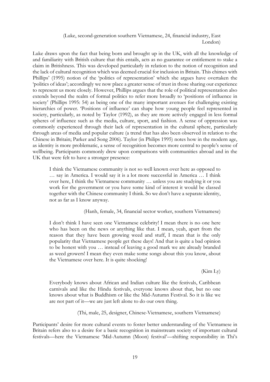## (Luke, second-generation southern Vietnamese, 24, financial industry, East London)

Luke draws upon the fact that being born and brought up in the UK, with all the knowledge of and familiarity with British culture that this entails, acts as no guarantee or entitlement to stake a claim in Britishness. This was developed particularly in relation to the notion of recognition and the lack of cultural recognition which was deemed crucial for inclusion in Britain. This chimes with Phillips' (1995) notion of the 'politics of representation' which she argues have overtaken the 'politics of ideas'; accordingly we now place a greater sense of trust in those sharing our experience to represent us more closely. However, Phillips argues that the role of political representation also extends beyond the realm of formal politics to refer more broadly to 'positions of influence in society' (Phillips 1995: 54) as being one of the many important avenues for challenging existing hierarchies of power. 'Positions of influence' can shape how young people feel represented in society, particularly, as noted by Taylor (1992), as they are more actively engaged in less formal spheres of influence such as the media, culture, sport, and fashion. A sense of oppression was commonly experienced through their lack of representation in the cultural sphere, particularly through areas of media and popular culture (a trend that has also been observed in relation to the Chinese in Britain; Parker and Song 2006). Taylor (in Philips 1995) notes how in the modern age, as identity is more problematic, a sense of recognition becomes more central to people's sense of wellbeing. Participants commonly drew upon comparisons with communities abroad and in the UK that were felt to have a stronger presence:

I think the Vietnamese community is not so well known over here as opposed to … say in America. I would say it is a lot more successful in America … I think over here, I think the Vietnamese community … unless you are studying it or you work for the government or you have some kind of interest it would be classed together with the Chinese community I think. So we don't have a separate identity, not as far as I know anyway.

(Hanh, female, 34, financial sector worker, southern Vietnamese)

I don't think I have seen one Vietnamese celebrity! I mean there is no one here who has been on the news or anything like that. I mean, yeah, apart from the reason that they have been growing weed and stuff, I mean that is the only popularity that Vietnamese people get these days! And that is quite a bad opinion to be honest with you … instead of leaving a good mark we are already branded as weed growers! I mean they even make some songs about this you know, about the Vietnamese over here. It is quite shocking!

(Kim Ly)

Everybody knows about African and Indian culture like the festivals, Caribbean carnivals and like the Hindu festivals, everyone knows about that, but no one knows about what is Buddhism or like the Mid-Autumn Festival. So it is like we are not part of it—we are just left alone to do our own thing.

(Thi, male, 25, designer, Chinese-Vietnamese, southern Vietnamese)

Participants' desire for more cultural events to foster better understanding of the Vietnamese in Britain refers also to a desire for a basic recognition in mainstream society of important cultural festivals—here the Vietnamese 'Mid-Autumn (Moon) festival'—shifting responsibility in Thi's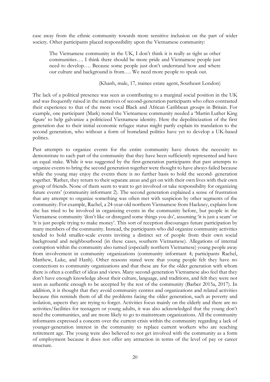case away from the ethnic community towards more sensitive inclusion on the part of wider society. Other participants placed responsibility upon the Vietnamese community:

The Vietnamese community in the UK, I don't think it is really as tight as other communities…. I think there should be more pride and Vietnamese people just need to develop…. Because some people just don't understand how and where our culture and background is from…. We need more people to speak out.

## (Khanh, male, 17, trainee estate agent, Southeast London)

The lack of a political presence was seen as contributing to a marginal social position in the UK and was frequently raised in the narratives of second-generation participants who often contrasted their experience to that of the more vocal Black and African Caribbean groups in Britain. For example, one participant (Mark) noted the Vietnamese community needed a 'Martin Luther King figure' to help galvanize a politicized Vietnamese identity. Here the depoliticization of the first generation due to their initial economic refugee status might partly explain its translation to the second generation, who without a form of homeland politics have yet to develop a UK-based politics.

Past attempts to organize events for the entire community have shown the necessity to demonstrate to each part of the community that they have been sufficiently represented and have an equal stake. While it was suggested by the first-generation participants that past attempts to organize events to bring the second generation together were thought to have always failed because while the young may enjoy the events there is no further basis to hold the second- generation together. 'Rather, they return to their separate areas and get on with their own lives with their own group of friends. None of them seem to want to get involved or take responsibility for organizing future events' (community informant 2). The second generation explained a sense of frustration that any attempt to organize something was often met with suspicion by other segments of the community. For example, Rachel, a 24-year-old northern Vietnamese from Hackney, explains how she has tried to be involved in organizing events in the community before, but people in the Vietnamese community *'*don't like or disregard some things you do', assuming 'it is just a scam' or 'it is just people trying to make money'. This sort of reception discourages future participation by many members of the community. Instead, the participants who did organize community activities tended to hold smaller-scale events inviting a distinct set of people from their own social background and neighbourhood (in these cases, southern Vietnamese). Allegations of internal corruption within the community also turned (especially northern Vietnamese) young people away from involvement in community organizations (community informant 4; participants Rachel, Matthew, Luke, and Hanh). Other reasons stated were that young people felt they have no connections to community organizations and that these are for the older generation with whom there is often a conflict of ideas and views. Many second-generation Vietnamese also feel that they don't have enough knowledge about their culture, language, and traditions, and felt they were not seen as authentic enough to be accepted by the rest of the community (Barber 2015a, 2017). In addition, it is thought that they avoid community centres and organizations and related activities because this reminds them of all the problems facing the older generation, such as poverty and isolation, aspects they are trying to forget. Activities focus mainly on the elderly and there are no activities/facilities for teenagers or young adults, it was also acknowledged that the young don't need the communities, and are more likely to go to mainstream organizations. All the community informants expressed a concern over the current crisis within the community regarding a lack of younger-generation interest in the community to replace current workers who are reaching retirement age. The young were also believed to not get involved with the community as a form of employment because it does not offer any attraction in terms of the level of pay or career structure.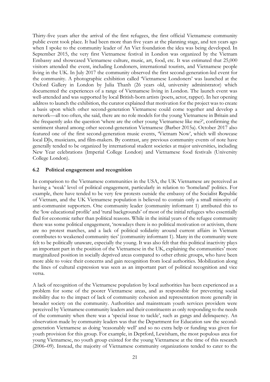Thirty-five years after the arrival of the first refugees, the first official Vietnamese community public event took place. It had been more than five years at the planning stage, and ten years ago when I spoke to the community leader of An Viet foundation the idea was being developed. In September 2015, the very first Vietnamese festival in London was organized by the Vietnam Embassy and showcased Vietnamese culture, music, art, food, etc. It was estimated that 25,000 visitors attended the event, including Londoners, international tourists, and Vietnamese people living in the UK. In July 2017 the community observed the first second-generation-led event for the community. A photographic exhibition called 'Vietnamese Londoners' was launched at the Oxford Gallery in London by Julia Thanh (26 years old, university administrator) which documented the experiences of a range of Vietnamese living in London. The launch event was well-attended and was supported by local British-born artists (poets, actor, rapper). In her opening address to launch the exhibition, the curator explained that motivation for the project was to create a basis upon which other second-generation Vietnamese could come together and develop a network—all too often, she said, there are no role models for the young Vietnamese in Britain and she frequently asks the question 'where are the other young Vietnamese like me?', confirming the sentiment shared among other second-generation Vietnamese (Barber 2015a). October 2017 also featured one of the first second-generation music events, 'Vietnam Now', which will showcase local DJs, musicians, and film-makers. By contrast, any previous community events of note have generally tended to be organized by international student societies at major universities, including New Year celebrations (Imperial College London) and Vietnamese food festivals (University College London).

## **6.2 Political engagement and recognition**

In comparison to the Vietnamese communities in the USA, the UK Vietnamese are perceived as having a 'weak' level of political engagement, particularly in relation to 'homeland' politics. For example, there have tended to be very few protests outside the embassy of the Socialist Republic of Vietnam, and the UK Vietnamese population is believed to contain only a small minority of anti-communist supporters. One community leader (community informant 1) attributed this to the 'low educational profile' and 'rural backgrounds' of most of the initial refugees who essentially fled for economic rather than political reasons. While in the initial years of the refugee community there was some political engagement, 'nowadays there is no political motivation or activism, there are no protest marches, and a lack of political solidarity around current affairs in Vietnam contributes to weakened community ties' (community informant 1). Many in the community were felt to be politically unaware, especially the young. It was also felt that this political inactivity plays an important part in the position of the Vietnamese in the UK, explaining the communities' more marginalized position in socially deprived areas compared to other ethnic groups, who have been more able to voice their concerns and gain recognition from local authorities. Mobilization along the lines of cultural expression was seen as an important part of political recognition and vice versa.

A lack of recognition of the Vietnamese population by local authorities has been experienced as a problem for some of the poorer Vietnamese areas, and as responsible for preventing social mobility due to the impact of lack of community cohesion and representation more generally in broader society on the community. Authorities and mainstream youth services providers were perceived by Vietnamese community leaders and their constituents as only responding to the needs of the community when there was a 'special issue to tackle', such as gangs and delinquency. An observation made by community leaders was that the Department for Education saw the secondgeneration Vietnamese as doing 'reasonably well' and so no extra help or funding was given for youth provision for this group. For example, in Deptford, Lewisham, the most populous area for young Vietnamese, no youth group existed for the young Vietnamese at the time of this research (2006–09). Instead, the majority of Vietnamese community organizations tended to cater to the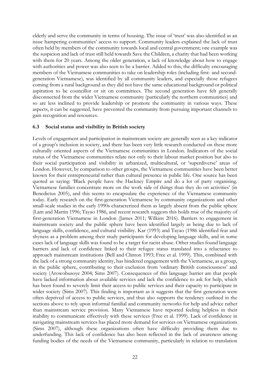elderly and serve the community in terms of housing. The issue of 'trust' was also identified as an issue hampering communities' access to support. Community leaders explained the lack of trust often held by members of the community towards local and central government; one example was the suspicion and lack of trust still held towards Save the Children, a charity that had been working with them for 20 years. Among the older generation, a lack of knowledge about how to engage with authorities and power was also seen to be a barrier. Added to this, the difficulty encouraging members of the Vietnamese communities to take on leadership roles (including first- and secondgeneration Vietnamese), was identified by all community leaders, and especially those refugees coming from a rural background as they did not have the same educational background or political aspiration to be councillor or sit on committees. The second generation have felt generally disconnected from the wider Vietnamese community (particularly the northern communities) and so are less inclined to provide leadership or promote the community in various ways. These aspects, it can be suggested, have prevented the community from pursuing important channels to gain recognition and resources.

### **6.3 Social status and visibility in British society**

Levels of engagement and participation in mainstream society are generally seen as a key indicator of a group's inclusion in society, and there has been very little research conducted on these more culturally oriented aspects of the Vietnamese communities in London. Indicators of the social status of the Vietnamese communities relate not only to their labour market position but also to their social participation and visibility in urbanized, multicultural, or 'superdiverse' areas of London. However, by comparison to other groups, the Vietnamese communities have been better known for their entrepreneurial rather than cultural presence in public life. One source has been quoted as saying: 'Black people have the Hackney Empire and do a lot of party organising. Vietnamese families concentrate more on the work side of things than they do on activities' (in Benedictus 2005), and this seems to encapsulate the experience of the Vietnamese community today. Early research on the first-generation Vietnamese by community organizations and other small-scale studies in the early 1990s characterized them as largely absent from the public sphere (Lam and Martin 1996; Tayao 1986, and recent research suggests this holds true of the majority of first-generation Vietnamese in London (James 2011; Wilkins 2016). Barriers to engagement in mainstream society and the public sphere have been identified largely as being due to lack of language skills, confidence, and cultural visibility. Kar (1993) and Tayao (1986 identified fear and shyness as a problem among their study participants for developing language skills, and in some cases lack of language skills was found to be a target for racist abuse. Other studies found language barriers and lack of confidence linked to their refugee status translated into a reluctance to approach mainstream institutions (Bell and Clinton 1993; Free et al. 1999). This, combined with the lack of a strong community identity, has hindered engagement with the Vietnamese, as a group, in the public sphere, contributing to their exclusion from 'ordinary British consciousness' and society (Arowobusoye 2004; Sims 2007). Consequences of this language barrier are that people have lacked information about available services and lack the confidence to ask for help, which has been found to severely limit their access to public services and their capacity to participate in wider society (Sims 2007). This finding is important as it suggests that the first generation were often deprived of access to public services, and thus also supports the tendency outlined in the sections above to rely upon informal familial and community networks for help and advice rather than mainstream service provision. Many Vietnamese have reported feeling helpless in their inability to communicate effectively with these services (Free et al. 1999). Lack of confidence in navigating mainstream services has placed more demand for services on Vietnamese organizations (Sims 2007), although these organizations often have difficulty providing them due to underfunding. This lack of confidence has also been reflected in the lack of awareness among funding bodies of the needs of the Vietnamese community, particularly in relation to translation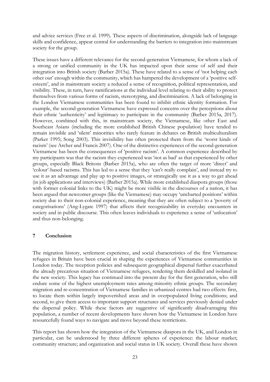and advice services (Free et al. 1999). These aspects of discrimination, alongside lack of language skills and confidence, appear central for understanding the barriers to integration into mainstream society for the group.

These issues have a different relevance for the second-generation Vietnamese, for whom a lack of a strong or unified community in the UK has impacted upon their sense of self and their integration into British society (Barber 2015a). These have related to a sense of 'not helping each other out' enough within the community, which has hampered the development of a 'positive selfesteem', and in mainstream society a reduced a sense of recognition, political representation, and visibility. These, in turn, have ramifications at the individual level relating to their ability to protect themselves from various forms of racism, stereotyping, and discrimination. A lack of belonging in the London Vietnamese communities has been found to inhibit ethnic identity formation. For example, the second-generation Vietnamese have expressed concerns over the perceptions about their ethnic 'authenticity' and legitimacy to participate in the community (Barber 2015a, 2017). However, combined with this, in mainstream society, the Vietnamese, like other East and Southeast Asians (including the more established British Chinese population) have tended to remain invisible and 'silent' minorities who rarely feature in debates on British multiculturalism (Parker 1995; Song 2003). This invisibility has often protected them from the 'worst kinds of racism' (see Archer and Francis 2007). One of the distinctive experiences of the second-generation Vietnamese has been the consequences of 'positive racism'. A common experience described by my participants was that the racism they experienced was 'not as bad' as that experienced by other groups, especially Black Britons (Barber 2015a), who are often the target of more 'direct' and 'colour'-based racisms. This has led to a sense that they 'can't really complain', and instead try to use it as an advantage and play up to positive images, or strategically use it as a way to get ahead (in job applications and interviews) (Barber 2015a). While more established diaspora groups (those with former colonial links to the UK) might be more visible in the discourses of a nation, it has been argued that newcomer groups (like the Vietnamese) may occupy 'uncharted positions' within society due to their non-colonial experience, meaning that they are often subject to a 'poverty of categorisations' (Ang-Lygate 1997) that affects their recognizability in everyday encounters in society and in public discourse. This often leaves individuals to experience a sense of 'unlocation' and thus non-belonging.

# **7 Conclusion**

The migration history, settlement experience, and social characteristics of the first Vietnamese refugees in Britain have been crucial in shaping the experiences of Vietnamese communities in London today. The reception policies and subsequent geographical dispersal further exacerbated the already precarious situation of Vietnamese refugees, rendering them deskilled and isolated in the new society. This legacy has continued into the present day for the first generation, who still endure some of the highest unemployment rates among minority ethnic groups. The secondary migration and re-concentration of Vietnamese families in urbanized centres had two effects: first, to locate them within largely impoverished areas and in overpopulated living conditions; and second, to give them access to important support structures and services previously denied under the dispersal policy. While these factors are suggestive of significantly disadvantaging this population, a number of recent developments have shown how the Vietnamese in London have resourcefully found ways to navigate and move beyond these restrictions.

This report has shown how the integration of the Vietnamese diaspora in the UK, and London in particular, can be understood by three different spheres of experience: the labour market; community structure; and organization and social status in UK society. Overall these have shown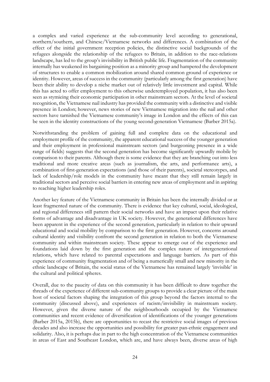a complex and varied experience at the sub-community level according to generational, northern/southern, and Chinese/Vietnamese networks and differences. A combination of the effect of the initial government reception policies, the distinctive social backgrounds of the refugees alongside the relationship of the refugees to Britain, in addition to the race-relations landscape, has led to the group's invisibility in British public life. Fragmentation of the community internally has weakened its bargaining position as a minority group and hampered the development of structures to enable a common mobilization around shared common ground of experience or identity. However, areas of success in the community (particularly among the first generation) have been their ability to develop a niche market out of relatively little investment and capital. While this has acted to offer employment to this otherwise underemployed population, it has also been seen as stymieing their economic participation in other mainstream sectors. At the level of societal recognition, the Vietnamese nail industry has provided the community with a distinctive and visible presence in London; however, news stories of new Vietnamese migration into the nail and other sectors have tarnished the Vietnamese community's image in London and the effects of this can be seen in the identity constructions of the young second-generation Vietnamese (Barber 2015a).

Notwithstanding the problem of gaining full and complete data on the educational and employment profile of the community, the apparent educational success of the younger generation and their employment in professional mainstream sectors (and burgeoning presence in a wide range of fields) suggests that the second generation has become significantly upwardly mobile by comparison to their parents. Although there is some evidence that they are branching out into less traditional and more creative areas (such as journalism, the arts, and performance arts), a combination of first-generation expectations (and those of their parents), societal stereotypes, and lack of leadership/role models in the community have meant that they still remain largely in traditional sectors and perceive social barriers in entering new areas of employment and in aspiring to reaching higher leadership roles.

Another key feature of the Vietnamese community in Britain has been the internally divided or at least fragmented nature of the community. There is evidence that key cultural, social, ideological, and regional differences still pattern their social networks and have an impact upon their relative forms of advantage and disadvantage in UK society. However, the generational differences have been apparent in the experience of the second generation, particularly in relation to their upward educational and social mobility by comparison to the first generation. However, concerns around cultural identity and visibility confront the second generation in relation to both the Vietnamese community and within mainstream society. These appear to emerge out of the experience and foundations laid down by the first generation and the complex nature of intergenerational relations, which have related to parental expectations and language barriers. As part of this experience of community fragmentation and of being a numerically small and new minority in the ethnic landscape of Britain, the social status of the Vietnamese has remained largely 'invisible' in the cultural and political spheres.

Overall, due to the paucity of data on this community it has been difficult to draw together the threads of the experience of different sub-community groups to provide a clear picture of the main host of societal factors shaping the integration of this group beyond the factors internal to the community (discussed above), and experiences of racism/invisibility in mainstream society. However, given the diverse nature of the neighbourhoods occupied by the Vietnamese communities and recent evidence of diversification of identifications of the younger generations (Barber 2015a, 2015b), there are opportunities to recast the restrictive social images of previous decades and also increase the opportunities and possibility for greater pan-ethnic engagement and solidarity. Also, it is perhaps due in part to the high concentration of the Vietnamese communities in areas of East and Southeast London, which are, and have always been, diverse areas of high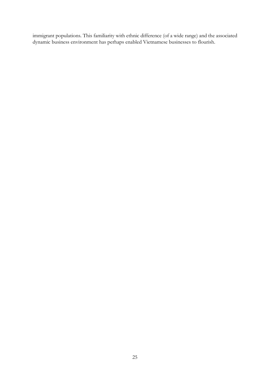immigrant populations. This familiarity with ethnic difference (of a wide range) and the associated dynamic business environment has perhaps enabled Vietnamese businesses to flourish.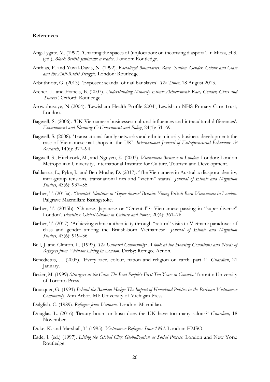### **References**

- Ang-Lygate, M. (1997). 'Charting the spaces of (un)location: on theorising diaspora'. In Mirza, H.S. (ed.), *Black British feminism: a reader*. London: Routledge.
- Anthias, F. and Yuval-Davis, N. (1992). *Racialized Boundaries: Race, Nation, Gender, Colour and Class and the Anti-Racist Struggle.* London: Routledge.
- Arbuthnott, G. (2013). 'Exposed: scandal of nail bar slaves'. *The Times*, 18 August 2013.
- Archer, L. and Francis, B. (2007). *Understanding Minority Ethnic Achievement: Race, Gender, Class and 'Success'.* Oxford: Routledge.
- Arowobusoye, N (2004). 'Lewisham Health Profile 2004', Lewisham NHS Primary Care Trust, London.
- Bagwell, S. (2006). 'UK Vietnamese businesses: cultural influences and intracultural differences'. *Environment and Planning C: Government and Policy*, 24(1): 51–69.
- Bagwell, S. (2008). 'Transnational family networks and ethnic minority business development: the case of Vietnamese nail-shops in the UK', *International Journal of Entrepreneurial Behaviour & Research*, 14(6): 377–94.
- Bagwell, S., Hitchcock, M., and Nguyen, K. (2003). *Vietnamese Business in London.* London: London Metropolitan University, International Institute for Culture, Tourism and Development.
- Baldassar, L., Pyke, J., and Ben-Moshe, D. (2017). 'The Vietnamese in Australia: diaspora identity, intra-group tensions, transnational ties and "victim" status'. *Journal of Ethnic and Migration Studies*, 43(6): 937–55.
- Barber, T. (2015a). *'Oriental' Identities in 'Super-diverse' Britain: Young British-Born Vietnamese in London*. Palgrave Macmillan: Basingstoke.
- Barber, T. (2015b). 'Chinese, Japanese or "Oriental"?: Vietnamese-passing in "super-diverse" London'. *Identities: Global Studies in Culture and Power*, 20(4): 361–76.
- Barber, T. (2017). ['Achieving ethnic authenticity through "return" visits to Vietnam: paradoxes of](http://www.tandfonline.com/doi/abs/10.1080/1369183X.2016.1274564)  [class and gender among the British-born Vietnamese'](http://www.tandfonline.com/doi/abs/10.1080/1369183X.2016.1274564). *[Journal of Ethnic and Migration](http://www.tandfonline.com/toc/cjms20/43/6)  [Studies](http://www.tandfonline.com/toc/cjms20/43/6)*, 43(6): 919–36.
- Bell, J. and Clinton, L. (1993). *The Unheard Community: A look at the Housing Conditions and Needs of Refugees from Vietnam Living in London*. Derby: Refugee Action.
- Benedictus, L. (2005). 'Every race, colour, nation and religion on earth: part 1'. *Guardian*, 21 January.
- Besier, M. (1999) *Strangers at the Gate: The Boat People's First Ten Years in Canada.* Toronto: University of Toronto Press.
- Bousquet, G. (1991) *Behind the Bamboo Hedge: The Impact of Homeland Politics in the Parisian Vietnamese Community*. Ann Arbor, MI: University of Michigan Press.
- Dalglish, C. (1989). *Refugees from Vietnam*. London: Macmillan.
- Douglas, L. (2016) 'Beauty boom or bust: does the UK have too many salons?' *Guardian,* 18 November.
- Duke, K. and Marshall, T. (1995). *Vietnamese Refugees Since 1982.* London: HMSO.
- Eade, J. (ed.) (1997). *Living the Global City: Globalization as Social Process*. London and New York: Routledge.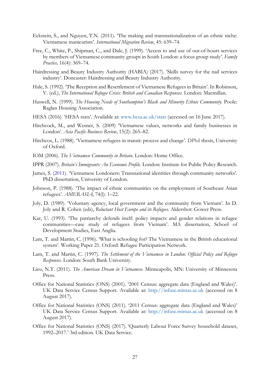- Eckstein, S., and Nguyen, T.N. (2011). 'The making and transnationalization of an ethnic niche: Vietnamese manicurists'. *International Migration Review*, 45: 639–74.
- Free, C., White, P., Shipman, C., and Dale, J. (1999). 'Access to and use of out-of-hours services by members of Vietnamese community groups in South London: a focus group study'. *Family Practice,* 16(4): 369–74.
- Hairdressing and Beauty Industry Authority (HABIA) (2017). 'Skills survey for the nail services industry'. Doncaster: Hairdressing and Beauty Industry Authority.
- Hale, S. (1992). 'The Reception and Resettlement of Vietnamese Refugees in Britain'. In Robinson, V. (ed.), *The International Refugee Crisis: British and Canadian Responses*. London: Macmillan.
- Haswell, N. (1999). *The Housing Needs of Southampton's Black and Minority Ethnic Community.* Poole: Raglan Housing Association.
- HESA (2016). 'HESA stats'. Available at: [www.hesa.ac.uk/stats](https://www.hesa.ac.uk/stats) (accessed on 16 June 2017).
- Hitchcock, M., and Wesner, S. (2009) 'Vietnamese values, networks and family businesses in London'. *Asia Pacific Business Review*, 15(2): 265–82.
- Hitchcox, L. (1988). 'Vietnamese refugees in transit: process and change'*.* DPhil thesis, University of Oxford.
- IOM (2006). *The Vietnamese Community in Britain*. London: Home Office.
- IPPR (2007). *Britain's Immigrants: An Economic Profile*. London: Institute for Public Policy Research.
- James, S. (2011). 'Vietnamese Londoners: Transnational identities through community networks'. PhD dissertation, University of London.
- Johnson, P. (1988). 'The impact of ethnic communities on the employment of Southeast Asian refugees'. *AMERASIA*, 74(l): 1–22.
- Joly, D. (1989). 'Voluntary agency, local government and the community from Vietnam'. In D. Joly and R. Cohen (eds), *Reluctant Host Europe and its Refugees*. Aldershot: Gower Press.
- Kar, U. (1993). 'The patriarchy defends itself: policy impacts and gender relations in refugee communities—case study of refugees from Vietnam'. MA dissertation, School of Development Studies, East Anglia.
- Lam, T. and Martin, C. (1996). 'What is schooling for? The Vietnamese in the British educational system'. Working Paper 21. Oxford: Refugee Participation Network.
- Lam, T. and Martin, C. (1997). *The Settlement of the Vietnamese in London: Official Policy and Refugee Responses*. London: South Bank University.
- Lieu, N.T. (2011). *The American Dream in Vietnamese*. Minneapolis, MN: University of Minnesota Press.
- Office for National Statistics (ONS) (2001). '2001 Census: aggregate data (England and Wales)'. UK Data Service Census Support. Available at: [http://infuse.mimas.ac.uk](http://infuse.mimas.ac.uk/) (accessed on 8 August 2017).
- Office for National Statistics (ONS) (2011). '2011 Census: aggregate data (England and Wales)' UK Data Service Census Support. Available at: [http://infuse.mimas.ac.uk](http://infuse.mimas.ac.uk/) (accessed on 8 August 2017).
- Office for National Statistics (ONS) (2017). 'Quarterly Labour Force Survey household dataset, 1992–2017.' 3rd edition*.* UK Data Service.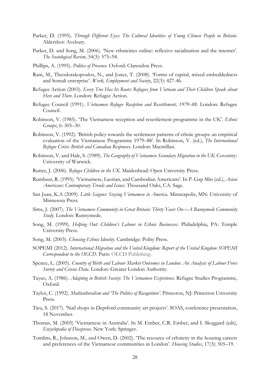- Parker, D. (1995). *Through Different Eyes: The Cultural Identities of Young Chinese People in Britain*. Aldershot: Avebury.
- Parker, D. and Song, M. (2006). 'New ethnicities online: reflexive racialisation and the internet'. *The Sociological Review*, [54\(3\):](http://onlinelibrary.wiley.com/doi/10.1111/sore.2006.54.issue-3/issuetoc) 575–94.
- Phillips, A. (1995). *Politics of Presence.* Oxford: Clarendon Press.
- Ram, M., Theodorakopoulos, N., and Jones, T. (2008). 'Forms of capital, mixed embeddedness and Somali enterprise'. *Work, Employment and Society*, 22(3): 427-46.
- Refugee Action (2003). *Every Tree Has Its Roots: Refugees from Vietnam and Their Children Speak about Here and There*. London: Refugee Action.
- Refugee Council (1991). *Vietnamese Refugee Reception and Resettlement, 1979–88*. London: Refugee Council.
- Robinson, V. (1985). 'The Vietnamese reception and resettlement programme in the UK'. *Ethnic Groups*, 6: 305–30.
- Robinson, V. (1992). 'British policy towards the settlement patterns of ethnic groups: an empirical evaluation of the Vietnamese Programme 1979–88'. In Robinson, V. (ed.), *The International Refugee Crisis: British and Canadian Responses*. London: Macmillan.
- Robinson, V. and Hale, S. (1989). *The Geography of Vietnamese Secondary Migration in the UK.* Coventry: University of Warwick.
- Rutter, J. (2006). *Refugee Children in the UK*. Maidenhead: Open University Press.
- Rumbaut, R. (1995). 'Vietnamese, Laotian, and Cambodian Americans'. In P. Gap Min (ed.), *Asian Americans: Contemporary Trends and Issues*. Thousand Oaks, CA: Sage.
- San Juan, K.A (2009). *Little Saigons: Staying Vietnamese in America*. Minneapolis, MN: University of Minnesota Press.
- Sims, J. (2007). *The Vietnamese Community in Great Britain: Thirty Years On—A Runnymede Community Study*. London: Runnymede.
- Song, M. (1999). *Helping Out: Children's Labour in Ethnic Businesses*. Philadelphia, PA: Temple University Press.
- Song, M. (2003). *Choosing Ethnic Identity*. Cambridge: Polity Press.
- SOPEMI (2012). *International Migration and the United Kingdom: Report of the United Kingdom SOPEMI Correspondent to the OECD*. Paris: OECD Publishing.
- Spence, L. (2005). *Country of Birth and Labour Market Outcomes in London: An Analysis of Labour Force Survey and Census Data*. London: Greater London Authority.
- Tayao, A. (1986). *Adapting in British Society: The Vietnamese Experience.* Refugee Studies Programme, Oxford.
- Taylor, C. (1992). *Multiculturalism and 'The Politics of Recognition'*. Princeton, NJ: Princeton University Press.
- Tieu, S. (2017). 'Nail shops in Deptford community art projects'. SOAS, conference presentation, 18 November.
- Thomas, M. (2005) 'Vietnamese in Australia'. In M. Ember, C.R. Ember, and I. Skoggard (eds), *Encyclopedia of Diasporas*. New York: Springer.
- Tomlins, R., Johnson, M., and Owen, D. (2002). 'The resource of ethnicity in the housing careers and preferences of the Vietnamese communities in London'. *Housing Studies*, 17(3): 505–19.